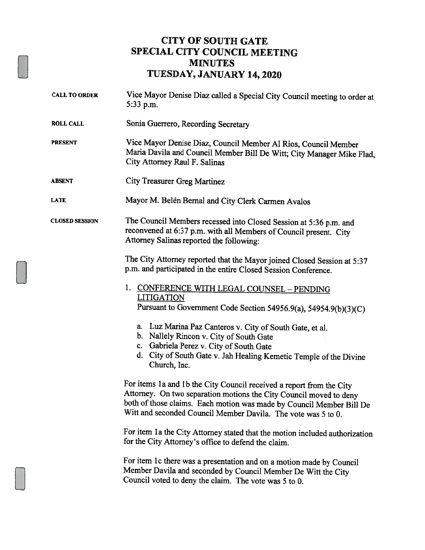## CITY OF SOUTH GATE SPECIAL CITY COUNCIL MEETING MINUTES TUESDAY, JANUARY 14, 2020

CALL TO ORDER Vice Mayor Denise Diaz called <sup>a</sup> Special City Council meeting to order at 5:33 p.m. ROLL CALL Sonia Guerrero, Recording Secretary PRESENT Vice Mayor Denise Diaz, Council Member Al Rios, Council Member Maria Davila and Council Member Bill Dc Witt; City Manager Mike Flad, City Attorney Raul F. Salinas ABSENT City Treasurer Greg Martinez LATE Mayor M. Belén Bernal and City Clerk Carmen Avalos CLOSED SESSION The Council Members recessed into Closed Session at 5:36 p.m. and reconvened at 6:37 p.m. with all Members of Council present. City Attorney Salinas reported the following: The City Attorney reported that the Mayor joined Closed Session at 5:37 p.m. and participated in the entire Closed Session Conference. 1. CONFERENCE WITH LEGAL COUNSEL - PENDING **LITIGATION** Pursuant to Government Code Section 54956.9(a), 54954.9(b)(3)(C) a. Luz Marina Paz Canteros v. City of South Gate, et a!. b. Nallely Rincon v. City of South Gate c. Gabriela Perez v. City of South Gate d. City of South Gate v. Jah Healing Kemetic Temple of the Divine Church, Inc. For items 1a and 1b the City Council received a report from the City Attorney. On two separation motions the City Council moved to deny both of those claims. Each motion was made by Council Member Bill De Witt and seconded Council Member Davila. The vote was 5 to 0. For item 1a the City Attorney stated that the motion included authorization for the City Attorney's office to defend the claim. For item 1c there was a presentation and on a motion made by Council Member Davila and seconded by Council Member De Witt the City Council voted to deny the claim. The vote was 5 to 0.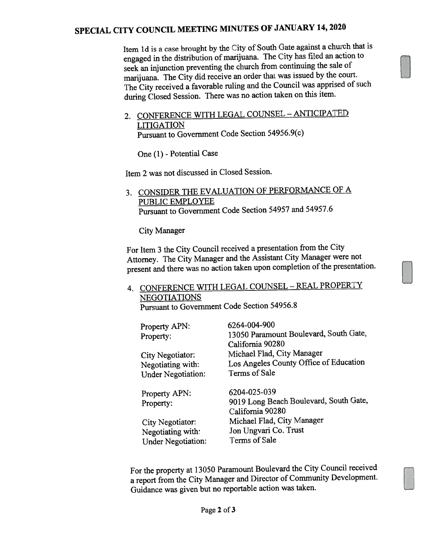## SPECIAL CITY COUNCIL MEETING MINUTES OF JANUARY 14, <sup>2020</sup>

Item 1d is a case brought by the City of South Gate against a church that is engage<sup>d</sup> in the distribution of marijuana. The City has filed an action to seek an injunction preventing the church from continuing the sale of marijuana. The City did receive an order that was issued by the court, The City received <sup>a</sup> favorable ruling and the Council was apprised of such during Closed Session. There was no action taken on this item.

2. CONFERENCE WITH LEGAL COUNSEL - ANTICIPATED **LITIGATION** Pursuant to Government Code Section 54956.9(c)

One (1) - Potential Case

Item 2 was not discussed in Closed Session.

3. CONSiDER THE EVALUATION OF PERFORMANCE OF <sup>A</sup> PUBLIC EMPLOYEE Pursuant to Government Code Section 54957 and 54957.6

City Manager

For Item <sup>3</sup> the City Council received <sup>a</sup> presentation from the City Attorney. The City Manager and the Assistant City Manager were not present and there was no action taken upon completion of the presentation.

## 4. CONFERENCE WITH LEGAL COUNSEL - REAL PROPERTY NEGOTIATIONS Pursuant to Government Code Section 54956.8

| Property APN:<br>Property: | 6264-004-900<br>13050 Paramount Boulevard, South Gate,<br>California 90280 |
|----------------------------|----------------------------------------------------------------------------|
| City Negotiator:           | Michael Flad, City Manager                                                 |
| Negotiating with:          | Los Angeles County Office of Education                                     |
| <b>Under Negotiation:</b>  | Terms of Sale                                                              |
| Property APN:              | 6204-025-039                                                               |
| Property:                  | 9019 Long Beach Boulevard, South Gate,                                     |
|                            | California 90280                                                           |
| City Negotiator:           | Michael Flad, City Manager                                                 |
| Negotiating with:          | Jon Ungvari Co. Trust                                                      |
| <b>Under Negotiation:</b>  | Terms of Sale                                                              |

For the property at <sup>13050</sup> Paramount Boulevard the City Council received <sup>a</sup> repor<sup>t</sup> from the City Manager and Director of Community Development. Guidance was <sup>g</sup>iven but no reportable action was taken.